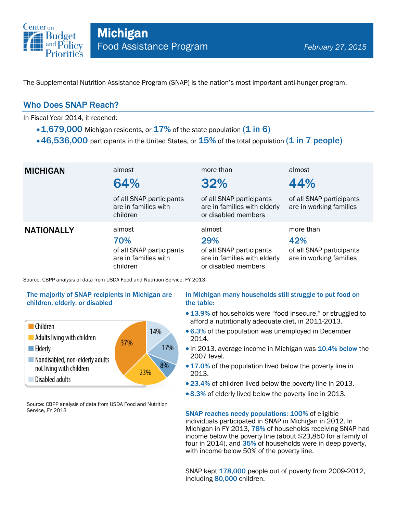

The Supplemental Nutrition Assistance Program (SNAP) is the nation's most important anti-hunger program.

### Who Does SNAP Reach?

In Fiscal Year 2014, it reached:

- $\cdot$  1,679,000 Michigan residents, or 17% of the state population (1 in 6)
- $\cdot$  46,536,000 participants in the United States, or  $15\%$  of the total population (1 in 7 people)

| <b>MICHIGAN</b>   | almost<br>64%<br>of all SNAP participants<br>are in families with<br>children | more than<br>32%<br>of all SNAP participants<br>are in families with elderly<br>or disabled members | almost<br>44%<br>of all SNAP participants<br>are in working families    |
|-------------------|-------------------------------------------------------------------------------|-----------------------------------------------------------------------------------------------------|-------------------------------------------------------------------------|
| <b>NATIONALLY</b> | almost<br>70%<br>of all SNAP participants<br>are in families with<br>children | almost<br>29%<br>of all SNAP participants<br>are in families with elderly<br>or disabled members    | more than<br>42%<br>of all SNAP participants<br>are in working families |

Source: CBPP analysis of data from USDA Food and Nutrition Service, FY 2013

#### The majority of SNAP recipients in Michigan are children, elderly, or disabled



Source: CBPP analysis of data from USDA Food and Nutrition Service, FY 2013

#### In Michigan many households still struggle to put food on the table:

- 13.9% of households were "food insecure," or struggled to afford a nutritionally adequate diet, in 2011-2013.
- 6.3% of the population was unemployed in December 2014.
- In 2013, average income in Michigan was 10.4% below the 2007 level.
- 17.0% of the population lived below the poverty line in 2013.
- 23.4% of children lived below the poverty line in 2013.
- 8.3% of elderly lived below the poverty line in 2013.

SNAP reaches needy populations: 100% of eligible individuals participated in SNAP in Michigan in 2012. In Michigan in FY 2013, 78% of households receiving SNAP had income below the poverty line (about \$23,850 for a family of four in 2014), and 35% of households were in deep poverty, with income below 50% of the poverty line.

SNAP kept 178,000 people out of poverty from 2009-2012, including 80,000 children.